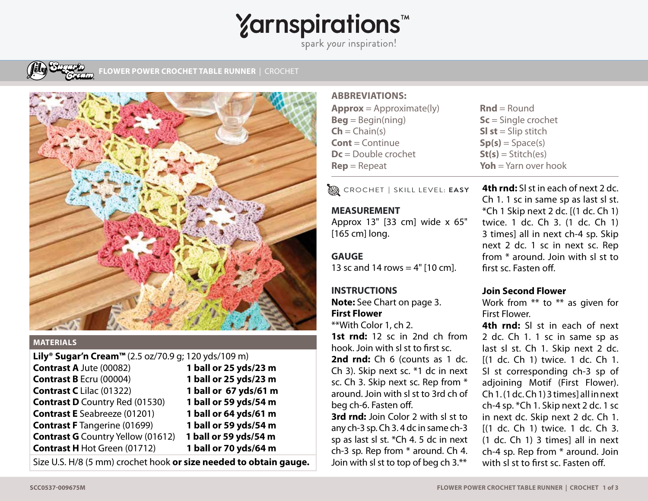# **Yarnspirations<sup>\*</sup>**

spark your inspiration!



**LOWER POWER CROCHET TABLE RUNNER | CROCHET** 



#### **MATERIALS**

| <b>Lily<sup>®</sup> Sugar'n Cream™</b> (2.5 oz/70.9 g; 120 yds/109 m) |
|-----------------------------------------------------------------------|
| 1 ball or 25 yds/23 m                                                 |
| 1 ball or 25 yds/23 m                                                 |
| 1 ball or 67 yds/61 m                                                 |
| 1 ball or 59 yds/54 m                                                 |
| 1 ball or 64 yds/61 m                                                 |
| 1 ball or 59 yds/54 m                                                 |
| 1 ball or 59 yds/54 m                                                 |
| 1 ball or 70 yds/64 m                                                 |
|                                                                       |

Size U.S. H/8 (5 mm) crochet hook **or size needed to obtain gauge.**

#### **ABBREVIATIONS:**

| <b>Approx</b> = Approximate(ly)   | $\text{Rnd} = \text{Round}$ |
|-----------------------------------|-----------------------------|
| $\text{Beq} = \text{Begin}(ning)$ | $Sc =$ Single crochet       |
| $\mathsf{Ch} = \mathsf{Chain}(s)$ | <b>SI st</b> = Slip stitch  |
| <b>Cont</b> = Continue            | $Sp(s) = Space(s)$          |
| $Dc = Double crochet$             | $St(s) = Stitch(es)$        |
| $\text{Rep} = \text{Repeat}$      | Yoh = $Yarn$ over hook      |
|                                   |                             |

CROCHET **|** SKILL LEVEL: **EASY**

# **MEASUREMENT**

Approx 13" [33 cm] wide x 65" [165 cm] long.

## **GAUGE**

13 sc and 14 rows  $=$  4" [10 cm].

### **INSTRUCTIONS**

**Note:** See Chart on page 3. **First Flower**

\*\*With Color 1, ch 2. **1st rnd:** 12 sc in 2nd ch from hook. Join with sl st to first sc. 2nd rnd: Ch 6 (counts as 1 dc.) Ch 3). Skip next sc. \*1 dc in next sc. Ch 3. Skip next sc. Rep from \* around. Join with sl st to 3rd ch of beg ch-6. Fasten off.

**3rd rnd:** Join Color 2 with sl st to any ch-3 sp. Ch 3. 4 dc in same ch-3 sp as last sl st. \*Ch 4. 5 dc in next ch-3 sp. Rep from \* around. Ch 4. Join with sl st to top of beg ch 3.\*\*

**4th rnd:** Sl st in each of next 2 dc. Ch 1. 1 sc in same sp as last sl st.  $*$ Ch 1 Skip next 2 dc.  $[$ (1 dc. Ch 1) twice. 1 dc. Ch 3. (1 dc. Ch 1) 3 times] all in next ch-4 sp. Skip next 2 dc. 1 sc in next sc. Rep from \* around. Join with sl st to **Yoh** = Yarn over hook

### **Join Second Flower**

first sc. Fasten off.

Work from \*\* to \*\* as given for First Flower.

**4th rnd:** Sl st in each of next 2 dc. Ch 1. 1 sc in same sp as last sl st. Ch 1. Skip next 2 dc. [(1 dc. Ch 1) twice. 1 dc. Ch 1. Sl st corresponding ch-3 sp of adjoining Motif (First Flower). Ch 1. (1 dc. Ch 1) 3 times] all in next ch-4 sp. \*Ch 1. Skip next 2 dc. 1 sc in next dc. Skip next 2 dc. Ch 1. [(1 dc. Ch 1) twice. 1 dc. Ch 3. (1 dc. Ch 1) 3 times] all in next ch-4 sp. Rep from \* around. Join with sl st to first sc. Fasten off.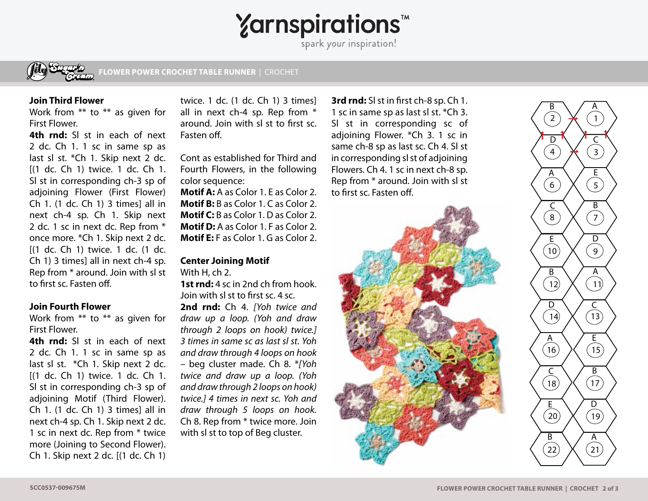# Yarnspirations<sup>th</sup>



**GO TO SEED KNIT SCARF** | KNIT **FLOWER POWER CROCHET TABLE RUNNER** | CROCHET

#### **Join Third Flower**

Work from \*\* to \*\* as given for First Flower.

**4th rnd:** Sl st in each of next 2 dc. Ch 1. 1 sc in same sp as last sl st. \*Ch 1. Skip next 2 dc. [(1 dc. Ch 1) twice. 1 dc. Ch 1. Sl st in corresponding ch-3 sp of adjoining Flower (First Flower) Ch 1. (1 dc. Ch 1) 3 times] all in next ch-4 sp. Ch 1. Skip next 2 dc. 1 sc in next dc. Rep from \* once more. \*Ch 1. Skip next 2 dc. [(1 dc. Ch 1) twice. 1 dc. (1 dc. Ch 1) 3 times] all in next ch-4 sp. Rep from \* around. Join with sl st to first sc. Fasten off.

#### **Join Fourth Flower**

Work from \*\* to \*\* as given for First Flower.

**4th rnd:** Sl st in each of next 2 dc. Ch 1. 1 sc in same sp as last sl st. \*Ch 1. Skip next 2 dc. [(1 dc. Ch 1) twice. 1 dc. Ch 1. Sl st in corresponding ch-3 sp of adjoining Motif (Third Flower). Ch 1. (1 dc. Ch 1) 3 times] all in next ch-4 sp. Ch 1. Skip next 2 dc. 1 sc in next dc. Rep from \* twice more (Joining to Second Flower). Ch 1. Skip next 2 dc. [(1 dc. Ch 1)

twice. 1 dc. (1 dc. Ch 1) 3 times] all in next ch-4 sp. Rep from \* around. Join with sl st to first sc. Fasten off.

Cont as established for Third and Fourth Flowers, in the following color sequence:

**Motif A:** A as Color 1. E as Color 2. **Motif B:** B as Color 1. C as Color 2. **Motif C:** B as Color 1. D as Color 2. **Motif D:** A as Color 1. F as Color 2. **Motif E:** F as Color 1. G as Color 2.

#### **Center Joining Motif**

With H, ch 2.

**1st rnd:** 4 sc in 2nd ch from hook. Join with sl st to first sc. 4 sc. **2nd rnd:** Ch 4. *[Yoh twice and draw up a loop. (Yoh and draw through 2 loops on hook) twice.] 3 times in same sc as last sl st. Yoh and draw through 4 loops on hook*  – beg cluster made. Ch 8. \**[Yoh twice and draw up a loop. (Yoh and draw through 2 loops on hook) twice.] 4 times in next sc. Yoh and draw through 5 loops on hook.*  Ch 8. Rep from \* twice more. Join with sl st to top of Beg cluster.

**3rd rnd:** Sl st in first ch-8 sp. Ch 1. 1 sc in same sp as last sl st. \*Ch 3. Sl st in corresponding sc of adjoining Flower. \*Ch 3. 1 sc in same ch-8 sp as last sc. Ch 4. Sl st in corresponding sl st of adjoining Flowers. Ch 4. 1 sc in next ch-8 sp. Rep from \* around. Join with sl st to first sc. Fasten off.